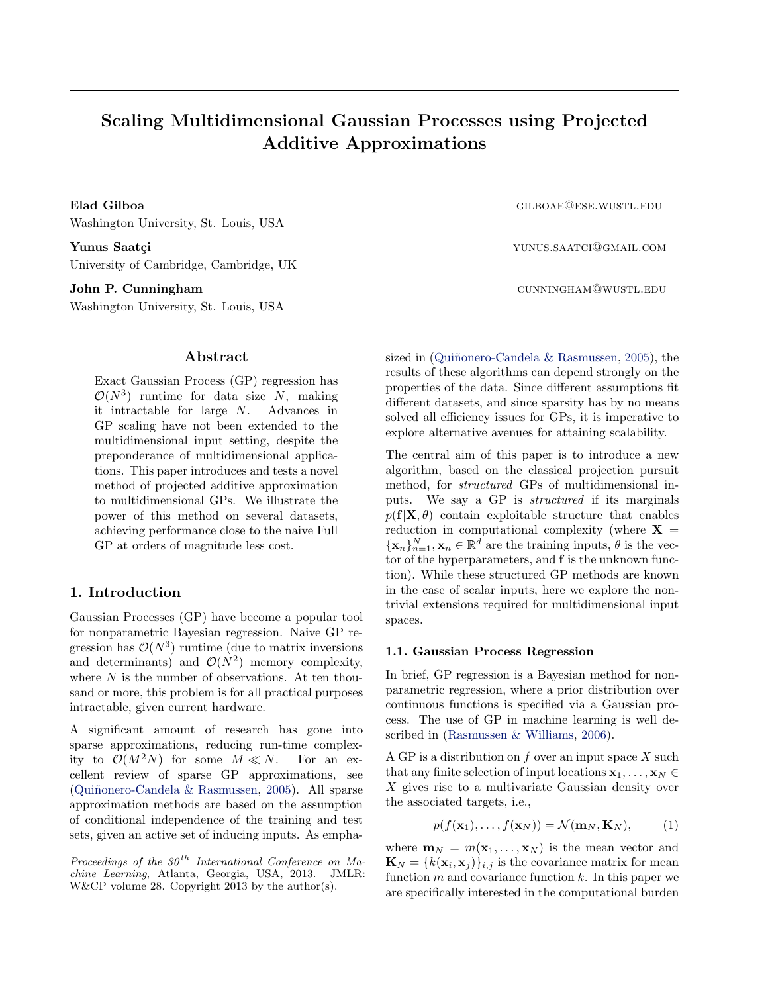# **Scaling Multidimensional Gaussian Processes using Projected Additive Approximations**

**Elad Gilboa** gilboa gilboa gilboa gilboa gilboa gilboa gilboa gilboa gilboa gilboa gilboa gilboa gilboa gilboa gilboa gilboa gilboa gilboa gilboa gilboa gilboa gilboa gilboa gilboa gilboa gilboa gilboa gilboa gilboa gilbo Washington University, St. Louis, USA

**Yunus Saatçi** yunus.saatçi yunus.saatçi yunus.saatcı@gmail.com University of Cambridge, Cambridge, UK

Washington University, St. Louis, USA

## **Abstract**

Exact Gaussian Process (GP) regression has  $\mathcal{O}(N^3)$  runtime for data size *N*, making it intractable for large *N*. Advances in GP scaling have not been extended to the multidimensional input setting, despite the preponderance of multidimensional applications. This paper introduces and tests a novel method of projected additive approximation to multidimensional GPs. We illustrate the power of this method on several datasets, achieving performance close to the naive Full GP at orders of magnitude less cost.

## **1. Introduction**

Gaussian Processes (GP) have become a popular tool for nonparametric Bayesian regression. Naive GP regression has  $\mathcal{O}(N^3)$  runtime (due to matrix inversions and determinants) and  $\mathcal{O}(N^2)$  memory complexity, where *N* is the number of observations. At ten thousand or more, this problem is for all practical purposes intractable, given current hardware.

A significant amount of research has gone into sparse approximations, reducing run-time complexity to  $\mathcal{O}(M^2N)$  for some  $M \ll N$ . For an excellent review of sparse GP approximations, see (Qui˜nonero-Candela & Rasmussen, 2005). All sparse approximation methods are based on the assumption of conditional independence of the training and test sets, given an active set of inducing inputs. As empha-

**John P. Cunningham** cunning and the cunning of the cunning cunning  $\alpha$  cunning  $\alpha$  cunning  $\alpha$  cunning  $\alpha$  cunning  $\alpha$  cunning  $\alpha$  cunning  $\alpha$  cunning  $\alpha$  cunning  $\alpha$  cunning  $\alpha$  cunning  $\alpha$  cunning  $\alpha$  cunnin

sized in (Quiñonero-Candela  $&$  Rasmussen, 2005), the results of these algorithms can depend strongly on the properties of the data. Since different assumptions fit different datasets, and since sparsity has by no means solved all efficiency issues for GPs, it is imperative to explore alternative avenues for attaining scalability.

The central aim of this paper is to introduce a new algorithm, based on the classical projection pursuit method, for *structured* GPs of multidimensional inputs. We say a GP is *structured* if its marginals  $p(\mathbf{f}|\mathbf{X}, \theta)$  contain exploitable structure that enables reduction in computational complexity (where  $X =$  $\{ {\bf x}_n \}_{n=1}^N, {\bf x}_n \in \mathbb{R}^d$  are the training inputs,  $\theta$  is the vector of the hyperparameters, and **f** is the unknown function). While these structured GP methods are known in the case of scalar inputs, here we explore the nontrivial extensions required for multidimensional input spaces.

#### **1.1. Gaussian Process Regression**

In brief, GP regression is a Bayesian method for nonparametric regression, where a prior distribution over continuous functions is specified via a Gaussian process. The use of GP in machine learning is well described in (Rasmussen & Williams, 2006).

A GP is a distribution on *f* over an input space *X* such that any finite selection of input locations  $\mathbf{x}_1, \ldots, \mathbf{x}_N \in$ *X* gives rise to a multivariate Gaussian density over the associated targets, i.e.,

$$
p(f(\mathbf{x}_1),...,f(\mathbf{x}_N)) = \mathcal{N}(\mathbf{m}_N, \mathbf{K}_N),
$$
 (1)

where  $\mathbf{m}_N = m(\mathbf{x}_1, \dots, \mathbf{x}_N)$  is the mean vector and  $\mathbf{K}_N = \{k(\mathbf{x}_i, \mathbf{x}_j)\}_{i,j}$  is the covariance matrix for mean function *m* and covariance function *k*. In this paper we are specifically interested in the computational burden

*Proceedings of the 30 th International Conference on Machine Learning*, Atlanta, Georgia, USA, 2013. JMLR: W&CP volume 28. Copyright 2013 by the author(s).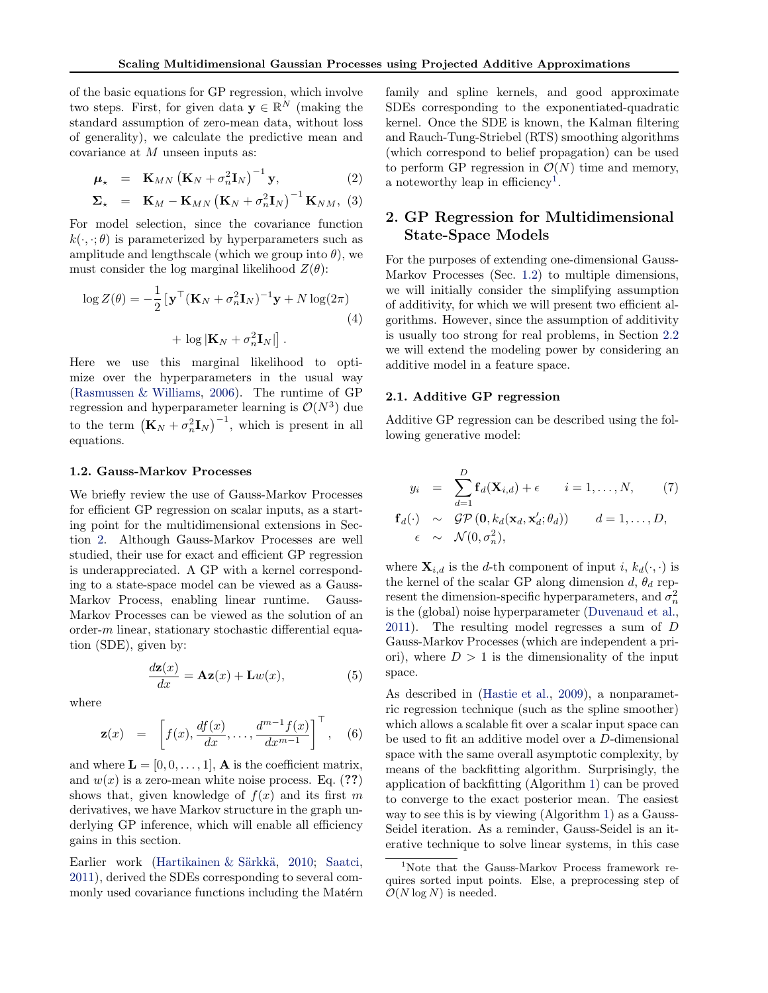of the basic equations for GP regression, which involve two steps. First, for given data  $\mathbf{y} \in \mathbb{R}^N$  (making the standard assumption of zero-mean data, without loss of generality), we calculate the predictive mean and covariance at *M* unseen inputs as:

$$
\boldsymbol{\mu}_{\star} = \mathbf{K}_{MN} \left( \mathbf{K}_N + \sigma_n^2 \mathbf{I}_N \right)^{-1} \mathbf{y}, \tag{2}
$$

$$
\mathbf{\Sigma}_{\star} = \mathbf{K}_{M} - \mathbf{K}_{MN} (\mathbf{K}_{N} + \sigma_{n}^{2} \mathbf{I}_{N})^{-1} \mathbf{K}_{NM}, (3)
$$

For model selection, since the covariance function  $k(\cdot, \cdot; \theta)$  is parameterized by hyperparameters such as amplitude and lengthscale (which we group into  $\theta$ ), we must consider the log marginal likelihood  $Z(\theta)$ :

$$
\log Z(\theta) = -\frac{1}{2} \left[ \mathbf{y}^\top (\mathbf{K}_N + \sigma_n^2 \mathbf{I}_N)^{-1} \mathbf{y} + N \log(2\pi) \right. \\ + \log |\mathbf{K}_N + \sigma_n^2 \mathbf{I}_N| \right]. \tag{4}
$$

Here we use this marginal likelihood to optimize over the hyperparameters in the usual way (Rasmussen & Williams, 2006). The runtime of GP regression and hyperparameter learning is  $\mathcal{O}(N^3)$  due to the term  $(K_N + \sigma_n^2 I_N)^{-1}$ , which is present in all equations.

#### **1.2. Gauss-Markov Processes**

We briefly review the use of Gauss-Markov Processes for efficient GP regression on scalar inputs, as a starting point for the multidimensional extensions in Section 2. Although Gauss-Markov Processes are well studied, their use for exact and efficient GP regression is underappreciated. A GP with a kernel corresponding to a state-space model can be viewed as a Gauss-Markov Process, enabling linear runtime. Gauss-Markov Processes can be viewed as the solution of an order-*m* linear, stationary stochastic differential equation (SDE), given by:

$$
\frac{d\mathbf{z}(x)}{dx} = \mathbf{A}\mathbf{z}(x) + \mathbf{L}w(x),\tag{5}
$$

where

$$
\mathbf{z}(x) = \left[f(x), \frac{df(x)}{dx}, \dots, \frac{d^{m-1}f(x)}{dx^{m-1}}\right]^\top, \quad (6)
$$

and where  $\mathbf{L} = [0, 0, \dots, 1], \mathbf{A}$  is the coefficient matrix, and  $w(x)$  is a zero-mean white noise process. Eq.  $(??)$ shows that, given knowledge of  $f(x)$  and its first *m* derivatives, we have Markov structure in the graph underlying GP inference, which will enable all efficiency gains in this section.

Earlier work (Hartikainen & Särkkä, 2010; Saatci, 2011), derived the SDEs corresponding to several commonly used covariance functions including the Matérn

family and spline kernels, and good approximate SDEs corresponding to the exponentiated-quadratic kernel. Once the SDE is known, the Kalman filtering and Rauch-Tung-Striebel (RTS) smoothing algorithms (which correspond to belief propagation) can be used to perform GP regression in  $\mathcal{O}(N)$  time and memory, a noteworthy leap in efficiency<sup>1</sup>.

# **2. GP Regression for Multidimensional State-Space Models**

For the purposes of extending one-dimensional Gauss-Markov Processes (Sec. 1.2) to multiple dimensions, we will initially consider the simplifying assumption of additivity, for which we will present two efficient algorithms. However, since the assumption of additivity is usually too strong for real problems, in Section 2.2 we will extend the modeling power by considering an additive model in a feature space.

#### **2.1. Additive GP regression**

Additive GP regression can be described using the following generative model:

$$
y_i = \sum_{d=1}^{D} \mathbf{f}_d(\mathbf{X}_{i,d}) + \epsilon \qquad i = 1, ..., N, \qquad (7)
$$
  

$$
\mathbf{f}_d(\cdot) \sim \mathcal{GP}(\mathbf{0}, k_d(\mathbf{x}_d, \mathbf{x}'_d; \theta_d)) \qquad d = 1, ..., D,
$$
  

$$
\epsilon \sim \mathcal{N}(0, \sigma_n^2),
$$

where  $\mathbf{X}_{i,d}$  is the *d*-th component of input *i*,  $k_d(\cdot, \cdot)$  is the kernel of the scalar GP along dimension  $d$ ,  $\theta_d$  represent the dimension-specific hyperparameters, and  $\sigma_n^2$ is the (global) noise hyperparameter (Duvenaud et al., 2011). The resulting model regresses a sum of *D* Gauss-Markov Processes (which are independent a priori), where  $D > 1$  is the dimensionality of the input space.

As described in (Hastie et al., 2009), a nonparametric regression technique (such as the spline smoother) which allows a scalable fit over a scalar input space can be used to fit an additive model over a *D*-dimensional space with the same overall asymptotic complexity, by means of the backfitting algorithm. Surprisingly, the application of backfitting (Algorithm 1) can be proved to converge to the exact posterior mean. The easiest way to see this is by viewing (Algorithm 1) as a Gauss-Seidel iteration. As a reminder, Gauss-Seidel is an iterative technique to solve linear systems, in this case

<sup>&</sup>lt;sup>1</sup>Note that the Gauss-Markov Process framework requires sorted input points. Else, a preprocessing step of  $\mathcal{O}(N \log N)$  is needed.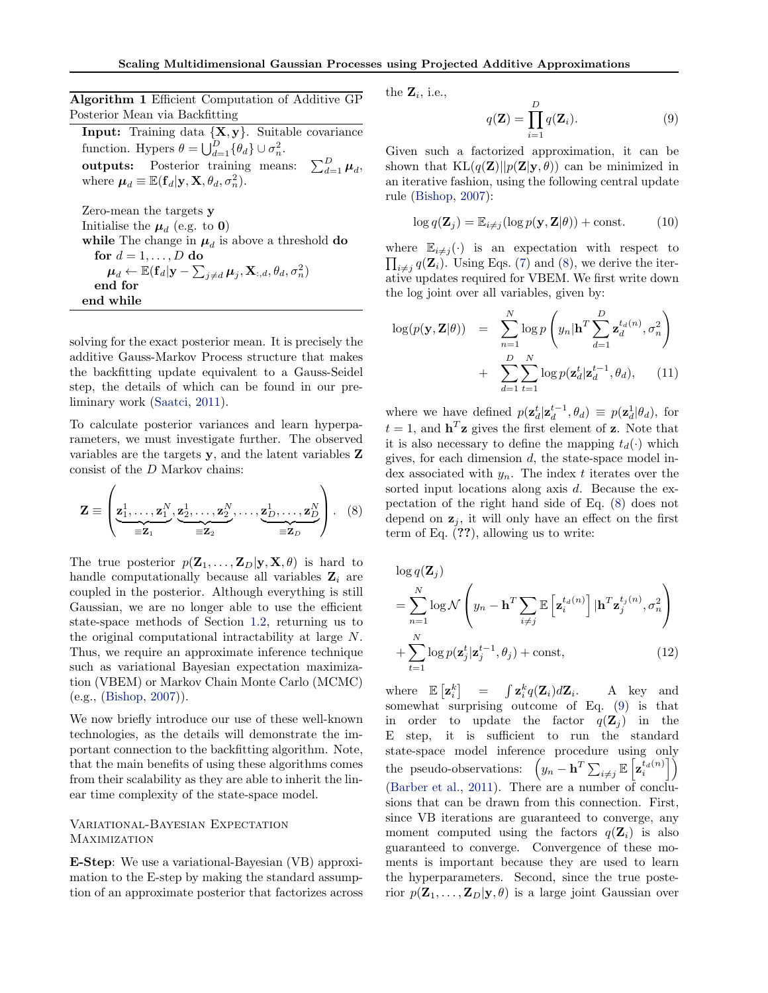**Algorithm 1** Efficient Computation of Additive GP Posterior Mean via Backfitting

**Input:** Training data *{***X***,* **y***}*. Suitable covariance function. Hypers  $\theta = \bigcup_{d=1}^{D} {\theta_d} \cup \sigma_n^2$ . **outputs:** Posterior training means:  $\frac{\nu}{d=1}$   $\mu_d$ , where  $\boldsymbol{\mu}_d \equiv \mathbb{E}(\mathbf{f}_d|\mathbf{y}, \mathbf{X}, \theta_d, \sigma_n^2)$ .

Zero-mean the targets **y** Initialise the  $\mu_d$  (e.g. to **0**) while The change in  $\mu_d$  is above a threshold **do** for  $d = 1, \ldots, D$  do  $\boldsymbol{\mu}_d \leftarrow \mathbb{E}(\mathbf{f}_d | \mathbf{y} - \sum_{j \neq d} \boldsymbol{\mu}_j, \mathbf{X}_{:,d}, \theta_d, \sigma_n^2)$ **end for end while**

solving for the exact posterior mean. It is precisely the additive Gauss-Markov Process structure that makes the backfitting update equivalent to a Gauss-Seidel step, the details of which can be found in our preliminary work (Saatci, 2011).

To calculate posterior variances and learn hyperparameters, we must investigate further. The observed variables are the targets **y**, and the latent variables **Z** consist of the *D* Markov chains:

$$
\mathbf{Z} \equiv \left(\underbrace{\mathbf{z}_1^1,\ldots,\mathbf{z}_1^N}_{\equiv \mathbf{Z}_1},\underbrace{\mathbf{z}_2^1,\ldots,\mathbf{z}_2^N}_{\equiv \mathbf{Z}_2},\ldots,\underbrace{\mathbf{z}_D^1,\ldots,\mathbf{z}_D^N}_{\equiv \mathbf{Z}_D}\right). \tag{8}
$$

The true posterior  $p(\mathbf{Z}_1, \ldots, \mathbf{Z}_D | \mathbf{y}, \mathbf{X}, \theta)$  is hard to handle computationally because all variables  $\mathbf{Z}_i$  are coupled in the posterior. Although everything is still Gaussian, we are no longer able to use the efficient state-space methods of Section 1.2, returning us to the original computational intractability at large *N*. Thus, we require an approximate inference technique such as variational Bayesian expectation maximization (VBEM) or Markov Chain Monte Carlo (MCMC) (e.g., (Bishop, 2007)).

We now briefly introduce our use of these well-known technologies, as the details will demonstrate the important connection to the backfitting algorithm. Note, that the main benefits of using these algorithms comes from their scalability as they are able to inherit the linear time complexity of the state-space model.

### Variational-Bayesian Expectation **MAXIMIZATION**

**E-Step**: We use a variational-Bayesian (VB) approximation to the E-step by making the standard assumption of an approximate posterior that factorizes across the  $\mathbf{Z}_i$ , i.e.,

$$
q(\mathbf{Z}) = \prod_{i=1}^{D} q(\mathbf{Z}_i).
$$
 (9)

Given such a factorized approximation, it can be shown that  $KL(q(\mathbf{Z})||p(\mathbf{Z}|\mathbf{y},\theta))$  can be minimized in an iterative fashion, using the following central update rule (Bishop, 2007):

$$
\log q(\mathbf{Z}_j) = \mathbb{E}_{i \neq j} (\log p(\mathbf{y}, \mathbf{Z} | \theta)) + \text{const.} \tag{10}
$$

where  $\mathbb{E}_{i \neq j}(\cdot)$  is an expectation with respect to  $\prod_{i \neq j} q(\mathbf{Z}_i)$ . Using Eqs. (7) and (8), we derive the iterative updates required for VBEM. We first write down the log joint over all variables, given by:

$$
\log(p(\mathbf{y}, \mathbf{Z}|\theta)) = \sum_{n=1}^{N} \log p\left(y_n | \mathbf{h}^T \sum_{d=1}^{D} \mathbf{z}_d^{t_d(n)}, \sigma_n^2\right) + \sum_{d=1}^{D} \sum_{t=1}^{N} \log p(\mathbf{z}_d^{t} | \mathbf{z}_d^{t-1}, \theta_d), \quad (11)
$$

where we have defined  $p(\mathbf{z}_d^t | \mathbf{z}_d^{t-1}, \theta_d) \equiv p(\mathbf{z}_d^1 | \theta_d)$ , for  $t = 1$ , and  $\mathbf{h}^T \mathbf{z}$  gives the first element of **z**. Note that it is also necessary to define the mapping  $t_d(\cdot)$  which gives, for each dimension *d*, the state-space model index associated with *yn*. The index *t* iterates over the sorted input locations along axis *d*. Because the expectation of the right hand side of Eq. (8) does not depend on  $z_j$ , it will only have an effect on the first term of Eq. (**??**), allowing us to write:

$$
\log q(\mathbf{Z}_{j})
$$
\n
$$
= \sum_{n=1}^{N} \log \mathcal{N}\left(y_{n} - \mathbf{h}^{T} \sum_{i \neq j} \mathbb{E}\left[\mathbf{z}_{i}^{t_{d}(n)}\right] | \mathbf{h}^{T} \mathbf{z}_{j}^{t_{j}(n)}, \sigma_{n}^{2}\right)
$$
\n
$$
+ \sum_{t=1}^{N} \log p(\mathbf{z}_{j}^{t} | \mathbf{z}_{j}^{t-1}, \theta_{j}) + \text{const}, \qquad (12)
$$

where  $\mathbb{E}\left[\mathbf{z}_i^k\right] = \int \mathbf{z}_i^k q(\mathbf{Z}_i) d\mathbf{Z}_i$ . A key and somewhat surprising outcome of Eq. (9) is that in order to update the factor  $q(\mathbf{Z}_i)$  in the E step, it is sufficient to run the standard state-space model inference procedure using only the pseudo-observations:  $(y_n - \mathbf{h}^T \sum_{i \neq j} \mathbb{E} \left[ \mathbf{z}_i^{t_d(n)} \right]$ (Barber et al., 2011). There are a number of conclusions that can be drawn from this connection. First, since VB iterations are guaranteed to converge, any moment computed using the factors  $q(\mathbf{Z}_i)$  is also guaranteed to converge. Convergence of these moments is important because they are used to learn the hyperparameters. Second, since the true posterior  $p(\mathbf{Z}_1, \ldots, \mathbf{Z}_D | \mathbf{y}, \theta)$  is a large joint Gaussian over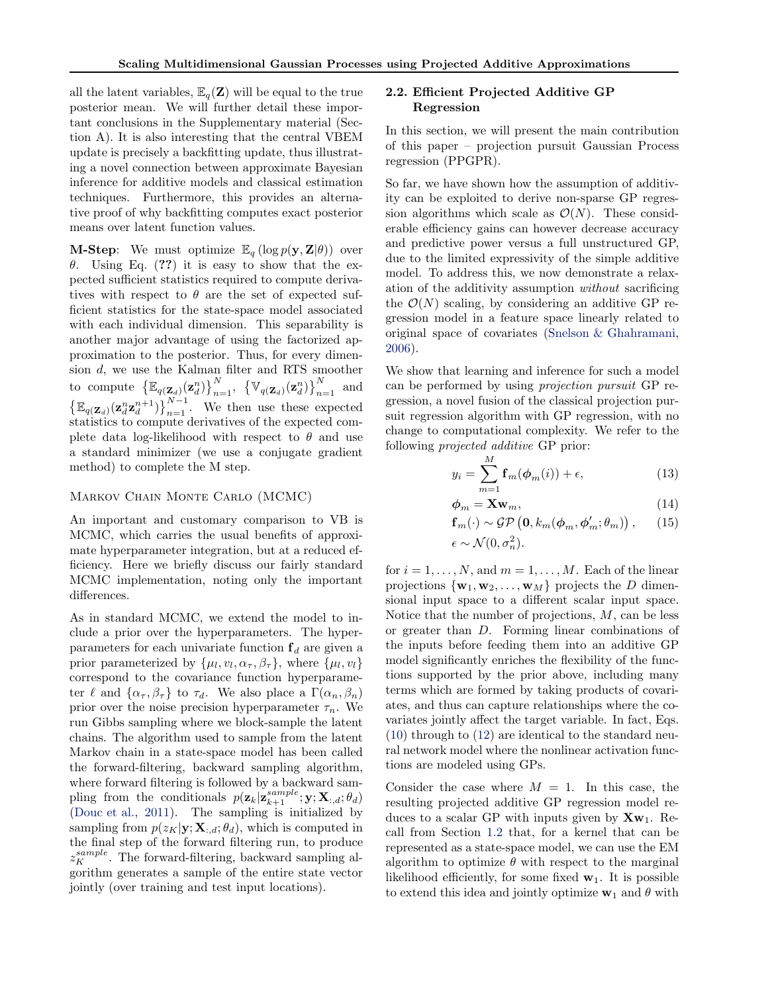all the latent variables,  $\mathbb{E}_q(\mathbf{Z})$  will be equal to the true posterior mean. We will further detail these important conclusions in the Supplementary material (Section A). It is also interesting that the central VBEM update is precisely a backfitting update, thus illustrating a novel connection between approximate Bayesian inference for additive models and classical estimation techniques. Furthermore, this provides an alternative proof of why backfitting computes exact posterior means over latent function values.

**M-Step**: We must optimize  $\mathbb{E}_q$  (log  $p(\mathbf{y}, \mathbf{Z}|\theta)$ ) over *θ*. Using Eq. (**??**) it is easy to show that the expected sufficient statistics required to compute derivatives with respect to  $\theta$  are the set of expected sufficient statistics for the state-space model associated with each individual dimension. This separability is another major advantage of using the factorized approximation to the posterior. Thus, for every dimension *d*, we use the Kalman filter and RTS smoother to compute  $\{\mathbb{E}_{q(\mathbf{Z}_d)}(\mathbf{z}_d^n)\}_{n=1}^N$ ,  $\{\mathbb{V}_{q(\mathbf{Z}_d)}(\mathbf{z}_d^n)\}_{n=1}^N$  and  $\left\{ \mathbb{E}_{q(\mathbf{Z}_d)}(\mathbf{z}_d^n \mathbf{z}_d^{n+1}) \right\}_{n=1}^{N-1}$ . We then use these expected statistics to compute derivatives of the expected complete data log-likelihood with respect to  $\theta$  and use a standard minimizer (we use a conjugate gradient method) to complete the M step.

# Markov Chain Monte Carlo (MCMC)

An important and customary comparison to VB is MCMC, which carries the usual benefits of approximate hyperparameter integration, but at a reduced efficiency. Here we briefly discuss our fairly standard MCMC implementation, noting only the important differences.

As in standard MCMC, we extend the model to include a prior over the hyperparameters. The hyperparameters for each univariate function  $f_d$  are given a prior parameterized by  $\{\mu_l, v_l, \alpha_\tau, \beta_\tau\}$ , where  $\{\mu_l, v_l\}$ correspond to the covariance function hyperparameter  $\ell$  and  $\{\alpha_{\tau}, \beta_{\tau}\}\$  to  $\tau_d$ . We also place a  $\Gamma(\alpha_n, \beta_n)$ prior over the noise precision hyperparameter  $\tau_n$ . We run Gibbs sampling where we block-sample the latent chains. The algorithm used to sample from the latent Markov chain in a state-space model has been called the forward-filtering, backward sampling algorithm, where forward filtering is followed by a backward sampling from the conditionals  $p(\mathbf{z}_k | \mathbf{z}_{k+1}^{sample}; \mathbf{y}; \mathbf{X}_{:,d}; \theta_d)$ (Douc et al., 2011). The sampling is initialized by sampling from  $p(z_K|\mathbf{y}; \mathbf{X}_{:,d}; \theta_d)$ , which is computed in the final step of the forward filtering run, to produce  $z_K^{sample}$ . The forward-filtering, backward sampling algorithm generates a sample of the entire state vector jointly (over training and test input locations).

#### **2.2. Efficient Projected Additive GP Regression**

In this section, we will present the main contribution of this paper – projection pursuit Gaussian Process regression (PPGPR).

So far, we have shown how the assumption of additivity can be exploited to derive non-sparse GP regression algorithms which scale as  $\mathcal{O}(N)$ . These considerable efficiency gains can however decrease accuracy and predictive power versus a full unstructured GP, due to the limited expressivity of the simple additive model. To address this, we now demonstrate a relaxation of the additivity assumption *without* sacrificing the  $\mathcal{O}(N)$  scaling, by considering an additive GP regression model in a feature space linearly related to original space of covariates (Snelson & Ghahramani, 2006).

We show that learning and inference for such a model can be performed by using *projection pursuit* GP regression, a novel fusion of the classical projection pursuit regression algorithm with GP regression, with no change to computational complexity. We refer to the following *projected additive* GP prior:

$$
y_i = \sum_{m=1}^{M} \mathbf{f}_m(\phi_m(i)) + \epsilon,\tag{13}
$$

$$
\phi_m = \mathbf{X} \mathbf{w}_m,\tag{14}
$$

$$
\mathbf{f}_{m}(\cdot) \sim \mathcal{GP}\left(\mathbf{0}, k_{m}(\boldsymbol{\phi}_{m}, \boldsymbol{\phi}'_{m}; \theta_{m})\right), \qquad (15)
$$
  

$$
\epsilon \sim \mathcal{N}(0, \sigma_{n}^{2}).
$$

for  $i = 1, \ldots, N$ , and  $m = 1, \ldots, M$ . Each of the linear projections  ${\bf \{w_1, w_2, \ldots, w_M\}}$  projects the *D* dimensional input space to a different scalar input space. Notice that the number of projections, *M*, can be less or greater than *D*. Forming linear combinations of the inputs before feeding them into an additive GP model significantly enriches the flexibility of the functions supported by the prior above, including many terms which are formed by taking products of covariates, and thus can capture relationships where the covariates jointly affect the target variable. In fact, Eqs. (10) through to (12) are identical to the standard neural network model where the nonlinear activation functions are modeled using GPs.

Consider the case where  $M = 1$ . In this case, the resulting projected additive GP regression model reduces to a scalar GP with inputs given by  $Xw_1$ . Recall from Section 1.2 that, for a kernel that can be represented as a state-space model, we can use the EM algorithm to optimize  $\theta$  with respect to the marginal likelihood efficiently, for some fixed  $w_1$ . It is possible to extend this idea and jointly optimize  $w_1$  and  $\theta$  with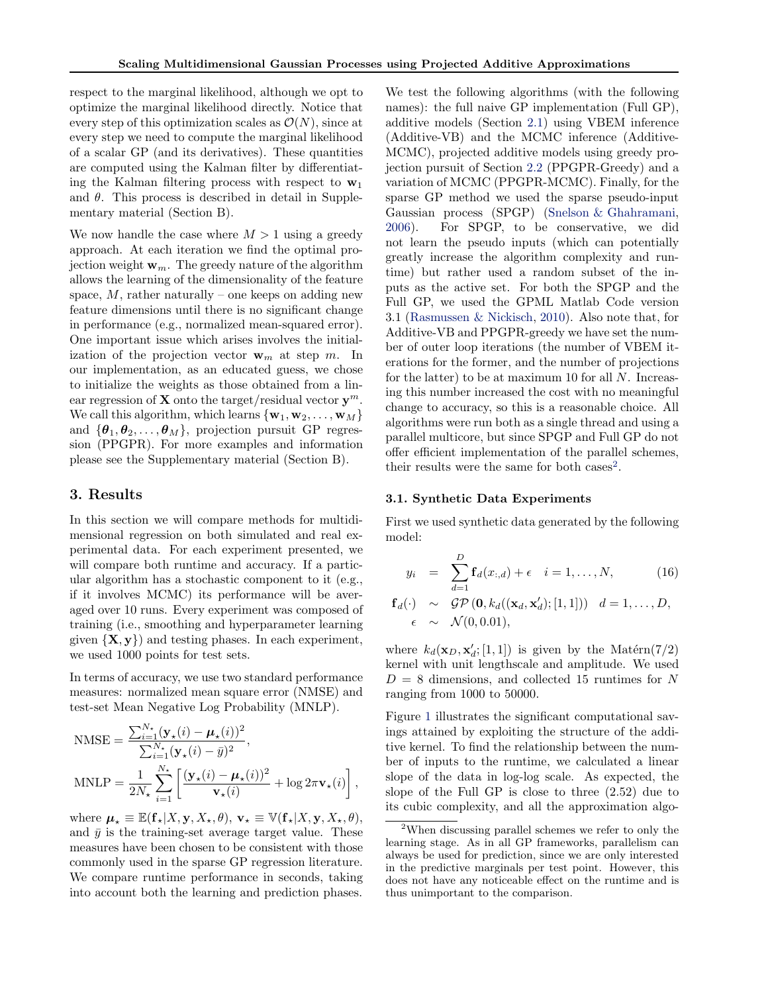respect to the marginal likelihood, although we opt to optimize the marginal likelihood directly. Notice that every step of this optimization scales as  $\mathcal{O}(N)$ , since at every step we need to compute the marginal likelihood of a scalar GP (and its derivatives). These quantities are computed using the Kalman filter by differentiating the Kalman filtering process with respect to **w**<sup>1</sup> and  $\theta$ . This process is described in detail in Supplementary material (Section B).

We now handle the case where  $M > 1$  using a greedy approach. At each iteration we find the optimal projection weight **w***m*. The greedy nature of the algorithm allows the learning of the dimensionality of the feature space,  $M$ , rather naturally – one keeps on adding new feature dimensions until there is no significant change in performance (e.g., normalized mean-squared error). One important issue which arises involves the initialization of the projection vector  $\mathbf{w}_m$  at step *m*. In our implementation, as an educated guess, we chose to initialize the weights as those obtained from a linear regression of **X** onto the target/residual vector  $y^m$ . We call this algorithm, which learns  $\{w_1, w_2, \ldots, w_M\}$ and  ${\theta_1, \theta_2, \ldots, \theta_M}$ , projection pursuit GP regression (PPGPR). For more examples and information please see the Supplementary material (Section B).

### **3. Results**

In this section we will compare methods for multidimensional regression on both simulated and real experimental data. For each experiment presented, we will compare both runtime and accuracy. If a particular algorithm has a stochastic component to it (e.g., if it involves MCMC) its performance will be averaged over 10 runs. Every experiment was composed of training (i.e., smoothing and hyperparameter learning given *{***X***,* **y***}*) and testing phases. In each experiment, we used 1000 points for test sets.

In terms of accuracy, we use two standard performance measures: normalized mean square error (NMSE) and test-set Mean Negative Log Probability (MNLP).

$$
\begin{aligned} \text{NMSE} &= \frac{\sum_{i=1}^{N_\star} (\mathbf{y}_\star(i) - \boldsymbol{\mu}_\star(i))^2}{\sum_{i=1}^{N_\star} (\mathbf{y}_\star(i) - \bar{y})^2}, \\ \text{MNLP} &= \frac{1}{2N_\star} \sum_{i=1}^{N_\star} \left[ \frac{(\mathbf{y}_\star(i) - \boldsymbol{\mu}_\star(i))^2}{\mathbf{v}_\star(i)} + \log 2\pi \mathbf{v}_\star(i) \right], \end{aligned}
$$

where  $\mu_* \equiv \mathbb{E}(\mathbf{f}_* | X, \mathbf{y}, X_*, \theta), \mathbf{v}_* \equiv \mathbb{V}(\mathbf{f}_* | X, \mathbf{y}, X_*, \theta),$ and  $\bar{y}$  is the training-set average target value. These measures have been chosen to be consistent with those commonly used in the sparse GP regression literature. We compare runtime performance in seconds, taking into account both the learning and prediction phases.

We test the following algorithms (with the following names): the full naive GP implementation (Full GP), additive models (Section 2.1) using VBEM inference (Additive-VB) and the MCMC inference (Additive-MCMC), projected additive models using greedy projection pursuit of Section 2.2 (PPGPR-Greedy) and a variation of MCMC (PPGPR-MCMC). Finally, for the sparse GP method we used the sparse pseudo-input Gaussian process (SPGP) (Snelson & Ghahramani, 2006). For SPGP, to be conservative, we did not learn the pseudo inputs (which can potentially greatly increase the algorithm complexity and runtime) but rather used a random subset of the inputs as the active set. For both the SPGP and the Full GP, we used the GPML Matlab Code version 3.1 (Rasmussen & Nickisch, 2010). Also note that, for Additive-VB and PPGPR-greedy we have set the number of outer loop iterations (the number of VBEM iterations for the former, and the number of projections for the latter) to be at maximum 10 for all *N*. Increasing this number increased the cost with no meaningful change to accuracy, so this is a reasonable choice. All algorithms were run both as a single thread and using a parallel multicore, but since SPGP and Full GP do not offer efficient implementation of the parallel schemes, their results were the same for both cases<sup>2</sup>.

#### **3.1. Synthetic Data Experiments**

First we used synthetic data generated by the following model:

$$
y_i = \sum_{d=1}^{D} \mathbf{f}_d(x_{:,d}) + \epsilon \quad i = 1, ..., N,
$$
 (16)

$$
\begin{array}{rcl}\n\mathbf{f}_d(\cdot) & \sim & \mathcal{GP}\left(\mathbf{0}, k_d((\mathbf{x}_d, \mathbf{x}'_d); [1, 1])\right) \quad d = 1, \ldots, D, \\
\epsilon & \sim & \mathcal{N}(0, 0.01),\n\end{array}
$$

where  $k_d(\mathbf{x}_D, \mathbf{x}'_d; [1, 1])$  is given by the Matérn(7/2) kernel with unit lengthscale and amplitude. We used *D* = 8 dimensions, and collected 15 runtimes for *N* ranging from 1000 to 50000.

Figure 1 illustrates the significant computational savings attained by exploiting the structure of the additive kernel. To find the relationship between the number of inputs to the runtime, we calculated a linear slope of the data in log-log scale. As expected, the slope of the Full GP is close to three (2.52) due to its cubic complexity, and all the approximation algo-

<sup>2</sup>When discussing parallel schemes we refer to only the learning stage. As in all GP frameworks, parallelism can always be used for prediction, since we are only interested in the predictive marginals per test point. However, this does not have any noticeable effect on the runtime and is thus unimportant to the comparison.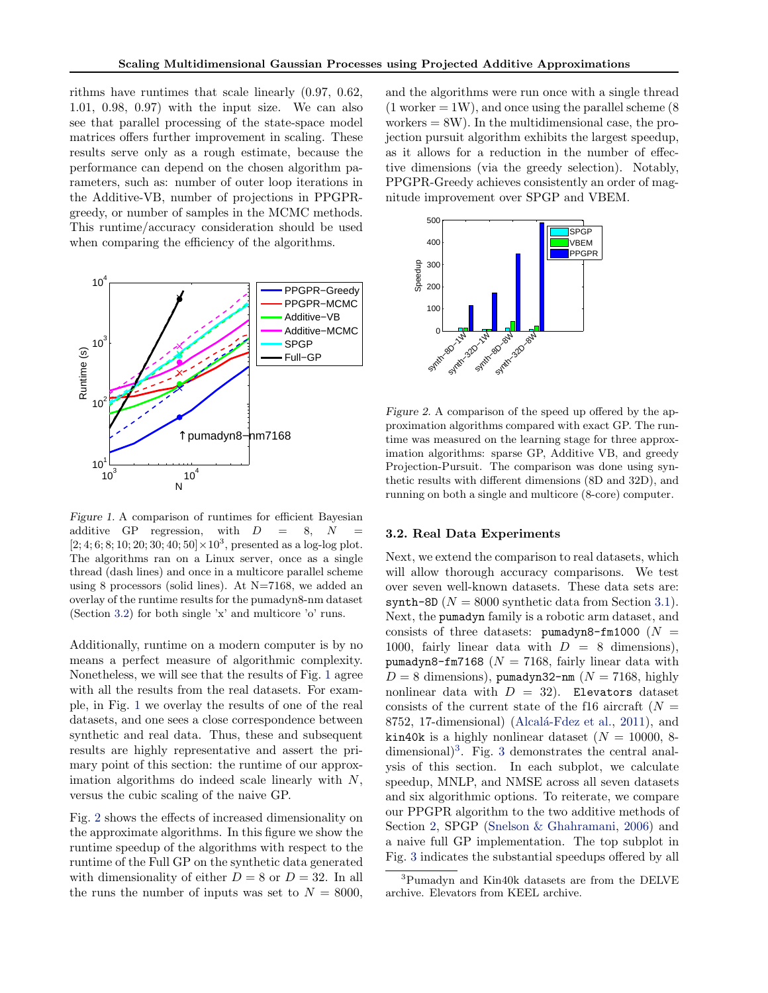rithms have runtimes that scale linearly (0.97, 0.62, 1.01, 0.98, 0.97) with the input size. We can also see that parallel processing of the state-space model matrices offers further improvement in scaling. These results serve only as a rough estimate, because the performance can depend on the chosen algorithm parameters, such as: number of outer loop iterations in the Additive-VB, number of projections in PPGPRgreedy, or number of samples in the MCMC methods. This runtime/accuracy consideration should be used when comparing the efficiency of the algorithms.



*Figure 1.* A comparison of runtimes for efficient Bayesian additive GP regression, with  $D = 8$ , *N*  $[2;4;6;8;10;20;30;40;50]\times10^{3}$  , presented as a log-log plot. The algorithms ran on a Linux server, once as a single thread (dash lines) and once in a multicore parallel scheme using 8 processors (solid lines). At  $N=7168$ , we added an overlay of the runtime results for the pumadyn8-nm dataset (Section 3.2) for both single 'x' and multicore 'o' runs.

Additionally, runtime on a modern computer is by no means a perfect measure of algorithmic complexity. Nonetheless, we will see that the results of Fig. 1 agree with all the results from the real datasets. For example, in Fig. 1 we overlay the results of one of the real datasets, and one sees a close correspondence between synthetic and real data. Thus, these and subsequent results are highly representative and assert the primary point of this section: the runtime of our approximation algorithms do indeed scale linearly with *N*, versus the cubic scaling of the naive GP.

Fig. 2 shows the effects of increased dimensionality on the approximate algorithms. In this figure we show the runtime speedup of the algorithms with respect to the runtime of the Full GP on the synthetic data generated with dimensionality of either  $D = 8$  or  $D = 32$ . In all the runs the number of inputs was set to  $N = 8000$ ,

and the algorithms were run once with a single thread  $(1)$  worker  $= 1W$ ), and once using the parallel scheme (8) workers  $= 8W$ ). In the multidimensional case, the projection pursuit algorithm exhibits the largest speedup, as it allows for a reduction in the number of effective dimensions (via the greedy selection). Notably, PPGPR-Greedy achieves consistently an order of magnitude improvement over SPGP and VBEM.



*Figure 2.* A comparison of the speed up offered by the approximation algorithms compared with exact GP. The runtime was measured on the learning stage for three approximation algorithms: sparse GP, Additive VB, and greedy Projection-Pursuit. The comparison was done using synthetic results with different dimensions (8D and 32D), and running on both a single and multicore (8-core) computer.

#### **3.2. Real Data Experiments**

Next, we extend the comparison to real datasets, which will allow thorough accuracy comparisons. We test over seven well-known datasets. These data sets are:  $\text{synth-8D}$  ( $N = 8000$  synthetic data from Section 3.1). Next, the pumadyn family is a robotic arm dataset, and consists of three datasets: pumadyn8-fm1000  $(N =$ 1000, fairly linear data with  $D = 8$  dimensions), pumadyn8-fm7168 ( $N = 7168$ , fairly linear data with  $D = 8$  dimensions), pumadyn32-nm ( $N = 7168$ , highly nonlinear data with  $D = 32$ ). Elevators dataset consists of the current state of the f16 aircraft  $(N =$ 8752, 17-dimensional) (Alcalá-Fdez et al., 2011), and kin40k is a highly nonlinear dataset  $(N = 10000, 8$ dimensional $)^3$ . Fig. 3 demonstrates the central analysis of this section. In each subplot, we calculate speedup, MNLP, and NMSE across all seven datasets and six algorithmic options. To reiterate, we compare our PPGPR algorithm to the two additive methods of Section 2, SPGP (Snelson & Ghahramani, 2006) and a naive full GP implementation. The top subplot in Fig. 3 indicates the substantial speedups offered by all

<sup>3</sup>Pumadyn and Kin40k datasets are from the DELVE archive. Elevators from KEEL archive.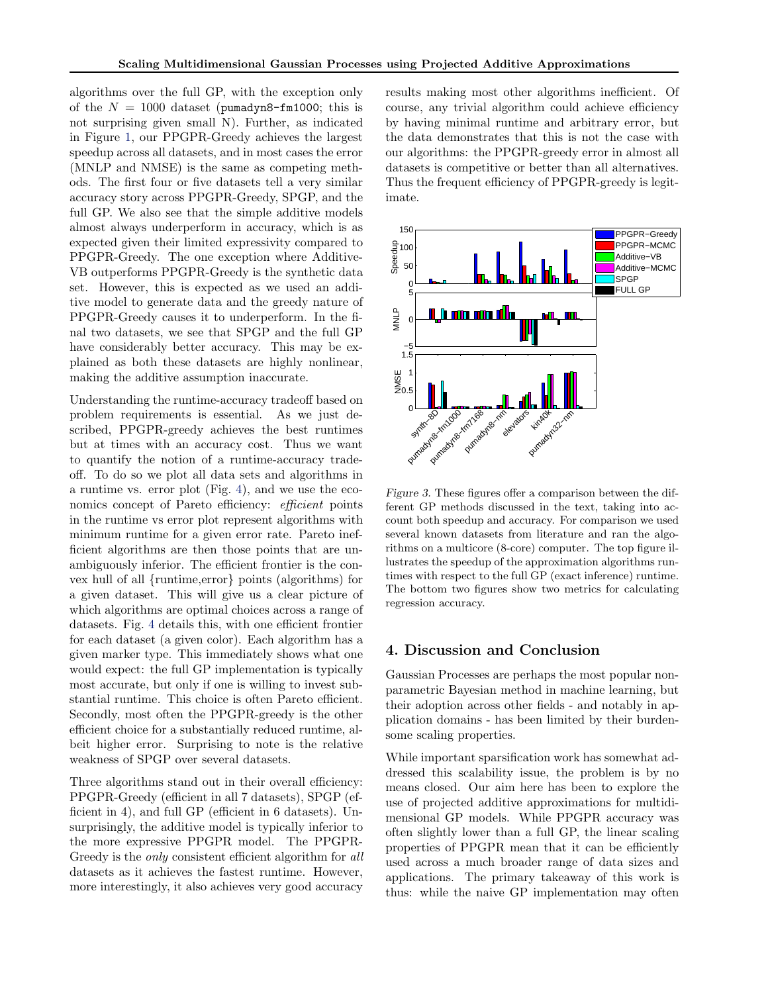algorithms over the full GP, with the exception only of the  $N = 1000$  dataset (pumadyn8-fm1000; this is not surprising given small N). Further, as indicated in Figure 1, our PPGPR-Greedy achieves the largest speedup across all datasets, and in most cases the error (MNLP and NMSE) is the same as competing methods. The first four or five datasets tell a very similar accuracy story across PPGPR-Greedy, SPGP, and the full GP. We also see that the simple additive models almost always underperform in accuracy, which is as expected given their limited expressivity compared to PPGPR-Greedy. The one exception where Additive-VB outperforms PPGPR-Greedy is the synthetic data set. However, this is expected as we used an additive model to generate data and the greedy nature of PPGPR-Greedy causes it to underperform. In the final two datasets, we see that SPGP and the full GP have considerably better accuracy. This may be explained as both these datasets are highly nonlinear, making the additive assumption inaccurate.

Understanding the runtime-accuracy tradeoff based on problem requirements is essential. As we just described, PPGPR-greedy achieves the best runtimes but at times with an accuracy cost. Thus we want to quantify the notion of a runtime-accuracy tradeoff. To do so we plot all data sets and algorithms in a runtime vs. error plot (Fig. 4), and we use the economics concept of Pareto efficiency: *efficient* points in the runtime vs error plot represent algorithms with minimum runtime for a given error rate. Pareto inefficient algorithms are then those points that are unambiguously inferior. The efficient frontier is the convex hull of all *{*runtime,error*}* points (algorithms) for a given dataset. This will give us a clear picture of which algorithms are optimal choices across a range of datasets. Fig. 4 details this, with one efficient frontier for each dataset (a given color). Each algorithm has a given marker type. This immediately shows what one would expect: the full GP implementation is typically most accurate, but only if one is willing to invest substantial runtime. This choice is often Pareto efficient. Secondly, most often the PPGPR-greedy is the other efficient choice for a substantially reduced runtime, albeit higher error. Surprising to note is the relative weakness of SPGP over several datasets.

Three algorithms stand out in their overall efficiency: PPGPR-Greedy (efficient in all 7 datasets), SPGP (efficient in 4), and full GP (efficient in 6 datasets). Unsurprisingly, the additive model is typically inferior to the more expressive PPGPR model. The PPGPR-Greedy is the *only* consistent efficient algorithm for *all* datasets as it achieves the fastest runtime. However, more interestingly, it also achieves very good accuracy

results making most other algorithms inefficient. Of course, any trivial algorithm could achieve efficiency by having minimal runtime and arbitrary error, but the data demonstrates that this is not the case with our algorithms: the PPGPR-greedy error in almost all datasets is competitive or better than all alternatives. Thus the frequent efficiency of PPGPR-greedy is legitimate.



*Figure 3.* These figures offer a comparison between the different GP methods discussed in the text, taking into account both speedup and accuracy. For comparison we used several known datasets from literature and ran the algorithms on a multicore (8-core) computer. The top figure illustrates the speedup of the approximation algorithms runtimes with respect to the full GP (exact inference) runtime. The bottom two figures show two metrics for calculating regression accuracy.

# **4. Discussion and Conclusion**

Gaussian Processes are perhaps the most popular nonparametric Bayesian method in machine learning, but their adoption across other fields - and notably in application domains - has been limited by their burdensome scaling properties.

While important sparsification work has somewhat addressed this scalability issue, the problem is by no means closed. Our aim here has been to explore the use of projected additive approximations for multidimensional GP models. While PPGPR accuracy was often slightly lower than a full GP, the linear scaling properties of PPGPR mean that it can be efficiently used across a much broader range of data sizes and applications. The primary takeaway of this work is thus: while the naive GP implementation may often